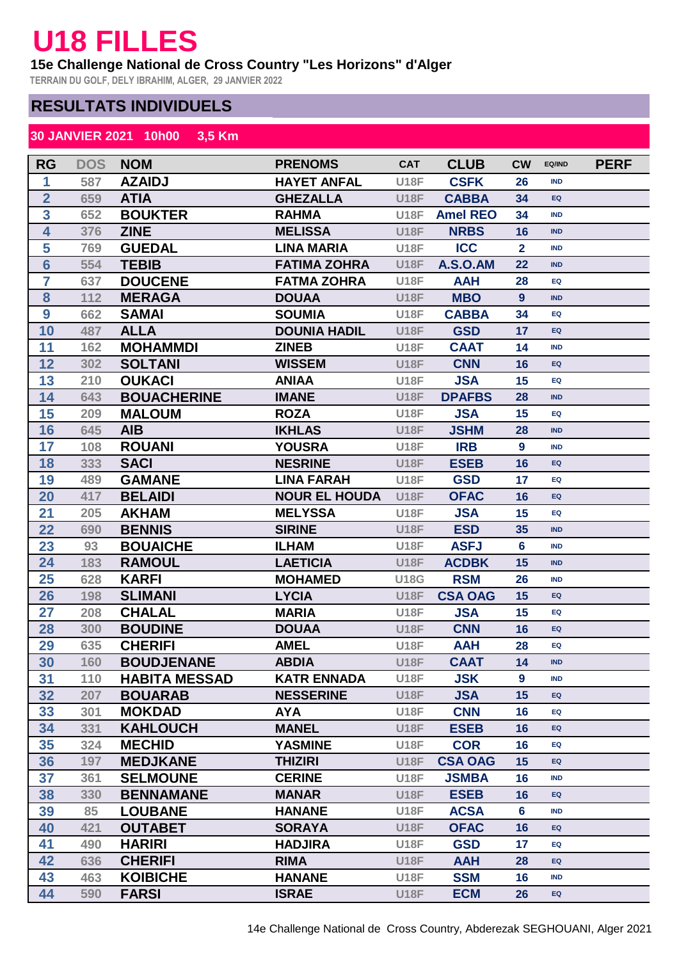## **U18 FILLES**

## **15e Challenge National de Cross Country "Les Horizons" d'Alger**

**TERRAIN DU GOLF, DELY IBRAHIM, ALGER, 29 JANVIER 2022**

## **RESULTATS INDIVIDUELS**

## **30 JANVIER 2021 10h00 3,5 Km**

| <b>RG</b>               | <b>DOS</b> | <b>NOM</b>           | <b>PRENOMS</b>       | <b>CAT</b>  | <b>CLUB</b>     | <b>CW</b>        | EQ/IND     | <b>PERF</b> |
|-------------------------|------------|----------------------|----------------------|-------------|-----------------|------------------|------------|-------------|
| 1                       | 587        | <b>AZAIDJ</b>        | <b>HAYET ANFAL</b>   | <b>U18F</b> | <b>CSFK</b>     | 26               | <b>IND</b> |             |
| $\overline{\mathbf{2}}$ | 659        | <b>ATIA</b>          | <b>GHEZALLA</b>      | <b>U18F</b> | <b>CABBA</b>    | 34               | EQ         |             |
| 3                       | 652        | <b>BOUKTER</b>       | <b>RAHMA</b>         | <b>U18F</b> | <b>Amel REO</b> | 34               | <b>IND</b> |             |
| $\overline{\mathbf{4}}$ | 376        | <b>ZINE</b>          | <b>MELISSA</b>       | <b>U18F</b> | <b>NRBS</b>     | 16               | <b>IND</b> |             |
| 5                       | 769        | <b>GUEDAL</b>        | <b>LINA MARIA</b>    | <b>U18F</b> | <b>ICC</b>      | $\overline{2}$   | <b>IND</b> |             |
| $6\phantom{1}6$         | 554        | <b>TEBIB</b>         | <b>FATIMA ZOHRA</b>  | <b>U18F</b> | <b>A.S.O.AM</b> | 22               | <b>IND</b> |             |
| $\overline{7}$          | 637        | <b>DOUCENE</b>       | <b>FATMA ZOHRA</b>   | <b>U18F</b> | <b>AAH</b>      | 28               | EQ         |             |
| 8                       | 112        | <b>MERAGA</b>        | <b>DOUAA</b>         | <b>U18F</b> | <b>MBO</b>      | 9                | <b>IND</b> |             |
| 9                       | 662        | <b>SAMAI</b>         | <b>SOUMIA</b>        | <b>U18F</b> | <b>CABBA</b>    | 34               | EQ         |             |
| 10                      | 487        | <b>ALLA</b>          | <b>DOUNIA HADIL</b>  | <b>U18F</b> | <b>GSD</b>      | 17               | EQ         |             |
| 11                      | 162        | <b>MOHAMMDI</b>      | <b>ZINEB</b>         | <b>U18F</b> | <b>CAAT</b>     | 14               | <b>IND</b> |             |
| 12                      | 302        | <b>SOLTANI</b>       | <b>WISSEM</b>        | <b>U18F</b> | <b>CNN</b>      | 16               | EQ         |             |
| 13                      | 210        | <b>OUKACI</b>        | <b>ANIAA</b>         | <b>U18F</b> | <b>JSA</b>      | 15               | EQ         |             |
| 14                      | 643        | <b>BOUACHERINE</b>   | <b>IMANE</b>         | <b>U18F</b> | <b>DPAFBS</b>   | 28               | <b>IND</b> |             |
| 15                      | 209        | <b>MALOUM</b>        | <b>ROZA</b>          | <b>U18F</b> | <b>JSA</b>      | 15               | EQ         |             |
| 16                      | 645        | <b>AIB</b>           | <b>IKHLAS</b>        | <b>U18F</b> | <b>JSHM</b>     | 28               | <b>IND</b> |             |
| 17                      | 108        | <b>ROUANI</b>        | <b>YOUSRA</b>        | <b>U18F</b> | <b>IRB</b>      | $\boldsymbol{9}$ | <b>IND</b> |             |
| 18                      | 333        | <b>SACI</b>          | <b>NESRINE</b>       | <b>U18F</b> | <b>ESEB</b>     | 16               | EQ         |             |
| 19                      | 489        | <b>GAMANE</b>        | <b>LINA FARAH</b>    | <b>U18F</b> | <b>GSD</b>      | 17               | EQ         |             |
| 20                      | 417        | <b>BELAIDI</b>       | <b>NOUR EL HOUDA</b> | <b>U18F</b> | <b>OFAC</b>     | 16               | EQ         |             |
| 21                      | 205        | <b>AKHAM</b>         | <b>MELYSSA</b>       | <b>U18F</b> | <b>JSA</b>      | 15               | EQ         |             |
| 22                      | 690        | <b>BENNIS</b>        | <b>SIRINE</b>        | <b>U18F</b> | <b>ESD</b>      | 35               | <b>IND</b> |             |
| 23                      | 93         | <b>BOUAICHE</b>      | <b>ILHAM</b>         | <b>U18F</b> | <b>ASFJ</b>     | $6\phantom{a}$   | <b>IND</b> |             |
| 24                      | 183        | <b>RAMOUL</b>        | <b>LAETICIA</b>      | <b>U18F</b> | <b>ACDBK</b>    | 15               | <b>IND</b> |             |
| 25                      | 628        | <b>KARFI</b>         | <b>MOHAMED</b>       | <b>U18G</b> | <b>RSM</b>      | 26               | <b>IND</b> |             |
| 26                      | 198        | <b>SLIMANI</b>       | <b>LYCIA</b>         | <b>U18F</b> | <b>CSA OAG</b>  | 15               | EQ         |             |
| 27                      | 208        | <b>CHALAL</b>        | <b>MARIA</b>         | <b>U18F</b> | <b>JSA</b>      | 15               | EQ         |             |
| 28                      | 300        | <b>BOUDINE</b>       | <b>DOUAA</b>         | <b>U18F</b> | <b>CNN</b>      | 16               | EQ         |             |
| 29                      | 635        | <b>CHERIFI</b>       | <b>AMEL</b>          | <b>U18F</b> | <b>AAH</b>      | 28               | EQ         |             |
| 30                      | 160        | <b>BOUDJENANE</b>    | <b>ABDIA</b>         | <b>U18F</b> | <b>CAAT</b>     | 14               | <b>IND</b> |             |
| 31                      | 110        | <b>HABITA MESSAD</b> | <b>KATR ENNADA</b>   | <b>U18F</b> | <b>JSK</b>      | 9                | <b>IND</b> |             |
| 32                      | 207        | <b>BOUARAB</b>       | <b>NESSERINE</b>     | <b>U18F</b> | <b>JSA</b>      | 15               | EQ         |             |
| 33                      | 301        | <b>MOKDAD</b>        | <b>AYA</b>           | <b>U18F</b> | <b>CNN</b>      | 16               | EQ         |             |
| 34                      | 331        | <b>KAHLOUCH</b>      | <b>MANEL</b>         | <b>U18F</b> | <b>ESEB</b>     | 16               | EQ         |             |
| 35                      | 324        | <b>MECHID</b>        | <b>YASMINE</b>       | <b>U18F</b> | <b>COR</b>      | 16               | EQ         |             |
| 36                      | 197        | <b>MEDJKANE</b>      | <b>THIZIRI</b>       | <b>U18F</b> | <b>CSA OAG</b>  | 15               | EQ         |             |
| 37                      | 361        | <b>SELMOUNE</b>      | <b>CERINE</b>        | <b>U18F</b> | <b>JSMBA</b>    | 16               | <b>IND</b> |             |
| 38                      | 330        | <b>BENNAMANE</b>     | <b>MANAR</b>         | <b>U18F</b> | <b>ESEB</b>     | 16               | EQ         |             |
| 39                      | 85         | <b>LOUBANE</b>       | <b>HANANE</b>        | <b>U18F</b> | <b>ACSA</b>     | 6                | <b>IND</b> |             |
| 40                      | 421        | <b>OUTABET</b>       | <b>SORAYA</b>        | <b>U18F</b> | <b>OFAC</b>     | 16               | EQ         |             |
| 41                      | 490        | <b>HARIRI</b>        | <b>HADJIRA</b>       | <b>U18F</b> | <b>GSD</b>      | 17               | EQ         |             |
| 42                      | 636        | <b>CHERIFI</b>       | <b>RIMA</b>          | <b>U18F</b> | <b>AAH</b>      | 28               | EQ         |             |
| 43                      | 463        | <b>KOIBICHE</b>      | <b>HANANE</b>        | <b>U18F</b> | <b>SSM</b>      | 16               | <b>IND</b> |             |
| 44                      | 590        | <b>FARSI</b>         | <b>ISRAE</b>         | <b>U18F</b> | <b>ECM</b>      | 26               | EQ         |             |